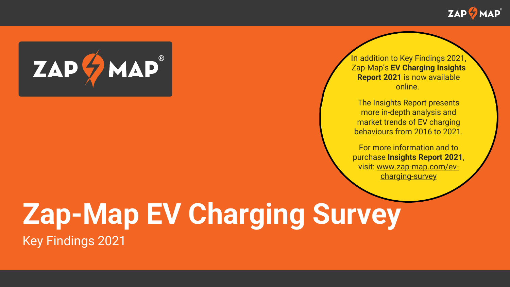



In addition to Key Findings 2021, Zap-Map's **EV Charging Insights Report 2021** is now available online.

The Insights Report presents more in-depth analysis and market trends of EV charging behaviours from 2016 to 2021.

For more information and to purchase **Insights Report 2021**, visit: [www.zap-map.com/ev](http://www.zap-map.com/ev-charging-survey)charging-survey

## **Zap-Map EV Charging Survey** Key Findings 2021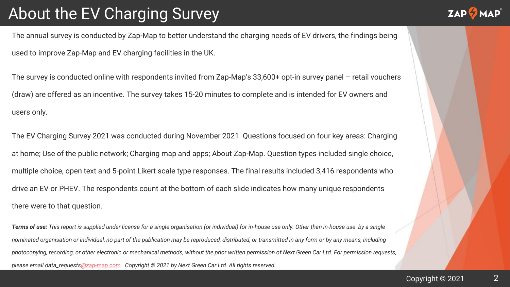### About the EV Charging Survey

The annual survey is conducted by Zap-Map to better understand the charging needs of EV drivers, the findings being used to improve Zap-Map and EV charging facilities in the UK.

The survey is conducted online with respondents invited from Zap-Map's 33,600+ opt-in survey panel – retail vouchers (draw) are offered as an incentive. The survey takes 15-20 minutes to complete and is intended for EV owners and users only.

The EV Charging Survey 2021 was conducted during November 2021. Questions focused on four key areas: Charging at home; Use of the public network; Charging map and apps; About Zap-Map. Question types included single choice, multiple choice, open text and 5-point Likert scale type responses. The final results included 3,416 respondents who drive an EV or PHEV. The respondents count at the bottom of each slide indicates how many unique respondents there were to that question.  $\frac{1}{2}$ 

*Terms of use: This report is supplied under license for a single organisation (or individual) for in-house use only. Other than in-house use by a single nominated organisation or individual, no part of the publication may be reproduced, distributed, or transmitted in any form or by any means, including photocopying, recording, or other electronic or mechanical methods, without the prior written permission of Next Green Car Ltd. For permission requests, please email data\_request[s@zap-map.com](mailto:contact@zap-map.com). Copyright © 2021 by Next Green Car Ltd. All rights reserved.*

2

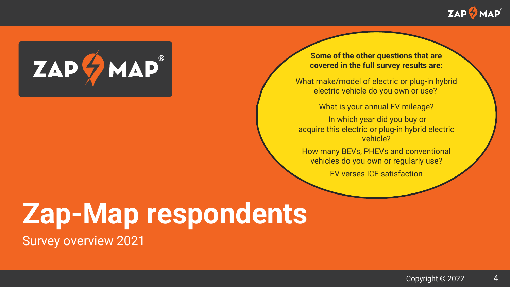



#### **Some of the other questions that are covered in the full survey results are:**

What make/model of electric or plug-in hybrid electric vehicle do you own or use?

What is your annual EV mileage?

In which year did you buy or acquire this electric or plug-in hybrid electric vehicle?

How many BEVs, PHEVs and conventional vehicles do you own or regularly use?

EV verses ICE satisfaction

# **Zap-Map respondents**

Survey overview 2021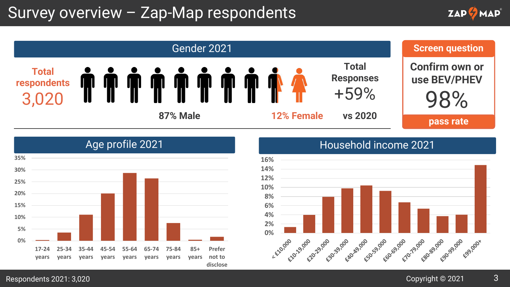### Survey overview – Zap-Map respondents









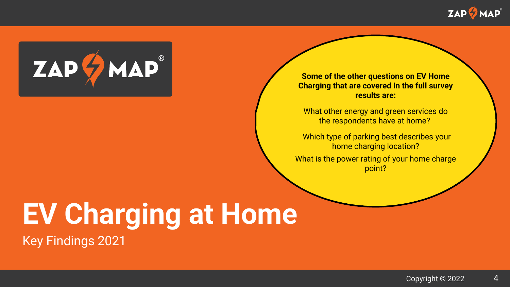



**Some of the other questions on EV Home Charging that are covered in the full survey results are:**

What other energy and green services do the respondents have at home?

Which type of parking best describes your home charging location?

What is the power rating of your home charge point?

# **EV Charging at Home**

Key Findings 2021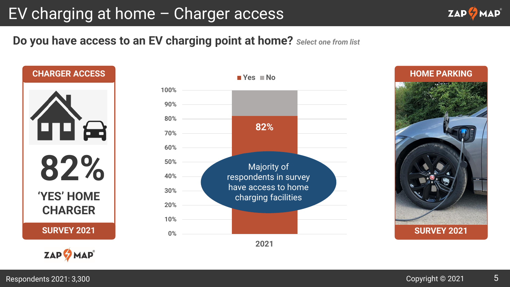### EV charging at home – Charger access

**Do you have access to an EV charging point at home?** *Select one from list*



**ZAP MAP** 



**SURVEY 2021 HOME PARKING**

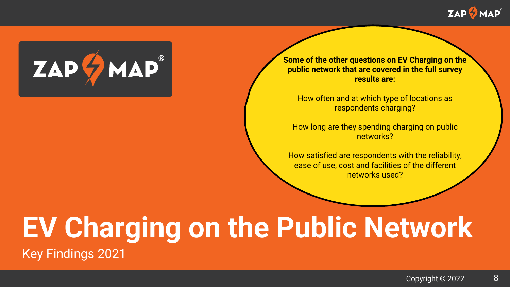



**Some of the other questions on EV Charging on the public network that are covered in the full survey results are:**

How often and at which type of locations as respondents charging?

How long are they spending charging on public networks?

How satisfied are respondents with the reliability, ease of use, cost and facilities of the different networks used?

### **EV Charging on the Public Network** Key Findings 2021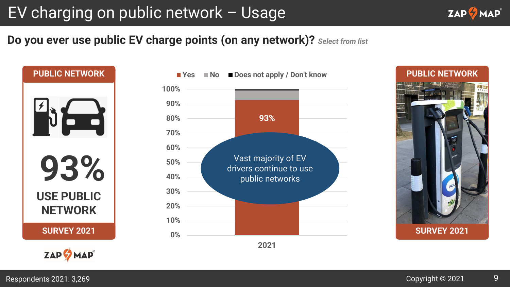### EV charging on public network – Usage



#### **Do you ever use public EV charge points (on any network)?** *Select from list*

**93% USE PUBLIC NETWORK SURVEY 2021 PUBLIC NETWORK**





**PUBLIC NETWORK**

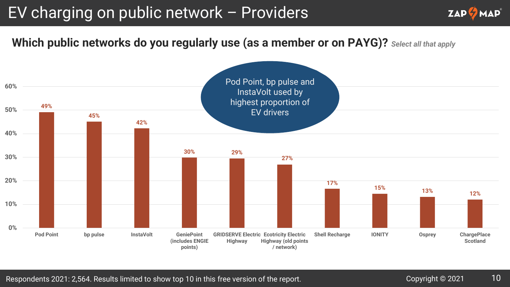### EV charging on public network – Providers



**Which public networks do you regularly use (as a member or on PAYG)?** *Select all that apply*

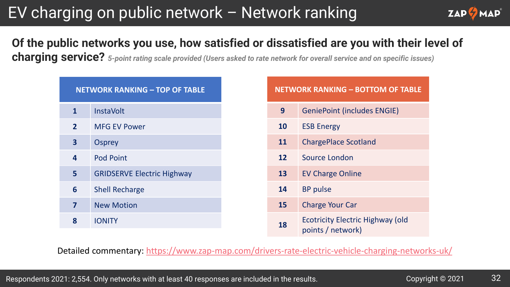### EV charging on public network – Network ranking



### **Of the public networks you use, how satisfied or dissatisfied are you with their level of**

**charging service?** *5-point rating scale provided (Users asked to rate network for overall service and on specific issues)*

| <b>NETWORK RANKING - TOP OF TABLE</b> |                                   |  |
|---------------------------------------|-----------------------------------|--|
| $\mathbf{1}$                          | <b>InstaVolt</b>                  |  |
| $\overline{2}$                        | <b>MFG EV Power</b>               |  |
| $\overline{\mathbf{3}}$               | <b>Osprey</b>                     |  |
| 4                                     | <b>Pod Point</b>                  |  |
| 5                                     | <b>GRIDSERVE Electric Highway</b> |  |
| 6                                     | <b>Shell Recharge</b>             |  |
| 7                                     | <b>New Motion</b>                 |  |
| 8                                     | <b>IONITY</b>                     |  |

| <b>NETWORK RANKING - BOTTOM OF TABLE</b> |                                                              |  |
|------------------------------------------|--------------------------------------------------------------|--|
| 9                                        | <b>GeniePoint (includes ENGIE)</b>                           |  |
| 10                                       | <b>ESB Energy</b>                                            |  |
| 11                                       | <b>ChargePlace Scotland</b>                                  |  |
| 12                                       | Source London                                                |  |
| 13                                       | <b>EV Charge Online</b>                                      |  |
| 14                                       | <b>BP</b> pulse                                              |  |
| 15                                       | <b>Charge Your Car</b>                                       |  |
| 18                                       | <b>Ecotricity Electric Highway (old</b><br>points / network) |  |

Detailed commentary: <https://www.zap-map.com/drivers-rate-electric-vehicle-charging-networks-uk/>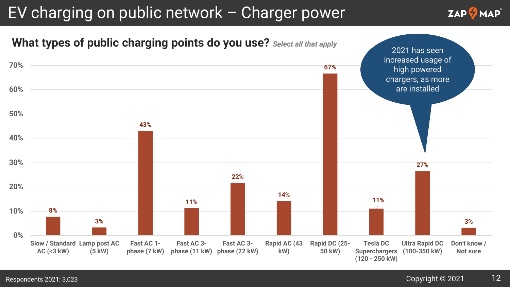### EV charging on public network – Charger power



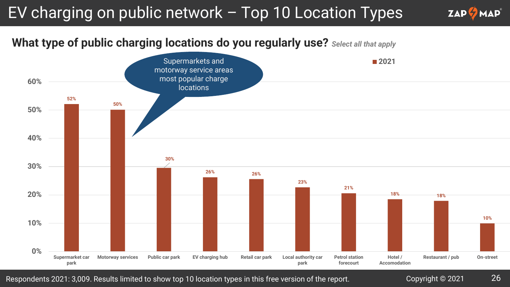### EV charging on public network – Top 10 Location Types

#### **What type of public charging locations do you regularly use?** *Select all that apply*



Respondents 2021: 3,009. Results limited to show top 10 location types in this free version of the report. Copyright © 2021 26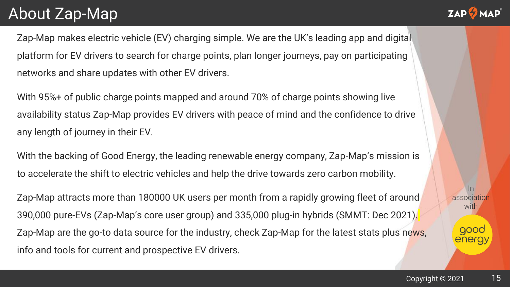### About Zap-Map



Zap-Map makes electric vehicle (EV) charging simple. We are the UK's leading app and digital platform for EV drivers to search for charge points, plan longer journeys, pay on participating networks and share updates with other EV drivers.

With 95%+ of public charge points mapped and around 70% of charge points showing live availability status Zap-Map provides EV drivers with peace of mind and the confidence to drive any length of journey in their EV.

With the backing of Good Energy, the leading renewable energy company, Zap-Map's mission is to accelerate the shift to electric vehicles and help the drive towards zero carbon mobility.

Zap-Map attracts more than 180000 UK users per month from a rapidly growing fleet of around 390,000 pure-EVs (Zap-Map's core user group) and 335,000 plug-in hybrids (SMMT: Dec 2021). Zap-Map are the go-to data source for the industry, check Zap-Map for the latest stats plus news, info and tools for current and prospective EV drivers.

In association with.

> good energy